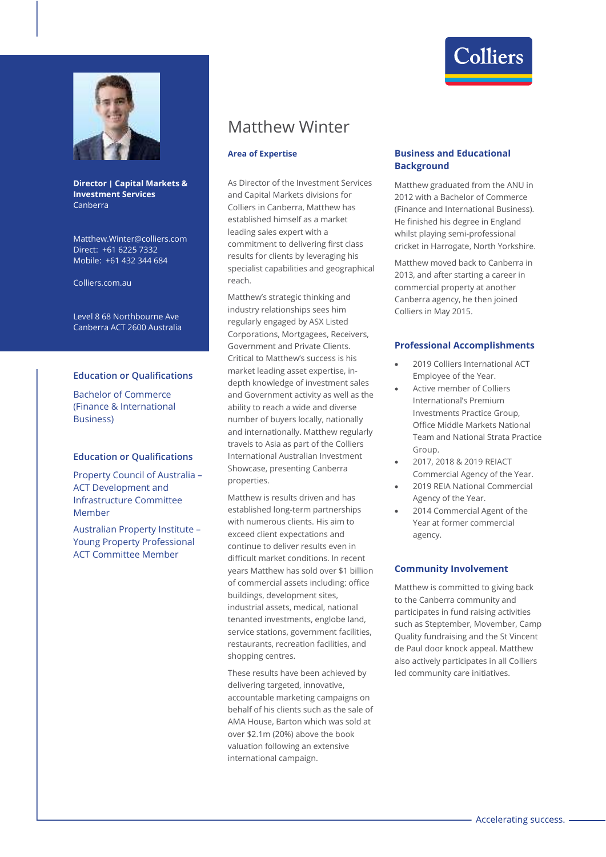

## **Director | Capital Markets & Investment Services**  Canberra

Matthew.Winter@colliers.com Direct: +61 6225 7332 Mobile: +61 432 344 684

Colliers.com.au

Level 8 68 Northbourne Ave Canberra ACT 2600 Australia

### **Education or Qualifications**

Bachelor of Commerce (Finance & International Business)

#### **Education or Qualifications**

Property Council of Australia – ACT Development and Infrastructure Committee Member

Australian Property Institute – Young Property Professional ACT Committee Member

# Matthew Winter

## **Area of Expertise**

As Director of the Investment Services and Capital Markets divisions for Colliers in Canberra, Matthew has established himself as a market leading sales expert with a commitment to delivering first class results for clients by leveraging his specialist capabilities and geographical reach.

Matthew's strategic thinking and industry relationships sees him regularly engaged by ASX Listed Corporations, Mortgagees, Receivers, Government and Private Clients. Critical to Matthew's success is his market leading asset expertise, indepth knowledge of investment sales and Government activity as well as the ability to reach a wide and diverse number of buyers locally, nationally and internationally. Matthew regularly travels to Asia as part of the Colliers International Australian Investment Showcase, presenting Canberra properties.

Matthew is results driven and has established long-term partnerships with numerous clients. His aim to exceed client expectations and continue to deliver results even in difficult market conditions. In recent years Matthew has sold over \$1 billion of commercial assets including: office buildings, development sites, industrial assets, medical, national tenanted investments, englobe land, service stations, government facilities, restaurants, recreation facilities, and shopping centres.

These results have been achieved by delivering targeted, innovative, accountable marketing campaigns on behalf of his clients such as the sale of AMA House, Barton which was sold at over \$2.1m (20%) above the book valuation following an extensive international campaign.

## **Business and Educational Background**

Matthew graduated from the ANU in 2012 with a Bachelor of Commerce (Finance and International Business). He finished his degree in England whilst playing semi-professional cricket in Harrogate, North Yorkshire.

Matthew moved back to Canberra in 2013, and after starting a career in commercial property at another Canberra agency, he then joined Colliers in May 2015.

#### **Professional Accomplishments**

- 2019 Colliers International ACT Employee of the Year.
- Active member of Colliers International's Premium Investments Practice Group, Office Middle Markets National Team and National Strata Practice Group
- 2017, 2018 & 2019 REIACT Commercial Agency of the Year.
- 2019 REIA National Commercial Agency of the Year.
- 2014 Commercial Agent of the Year at former commercial agency.

## **Community Involvement**

Matthew is committed to giving back to the Canberra community and participates in fund raising activities such as Steptember, Movember, Camp Quality fundraising and the St Vincent de Paul door knock appeal. Matthew also actively participates in all Colliers led community care initiatives.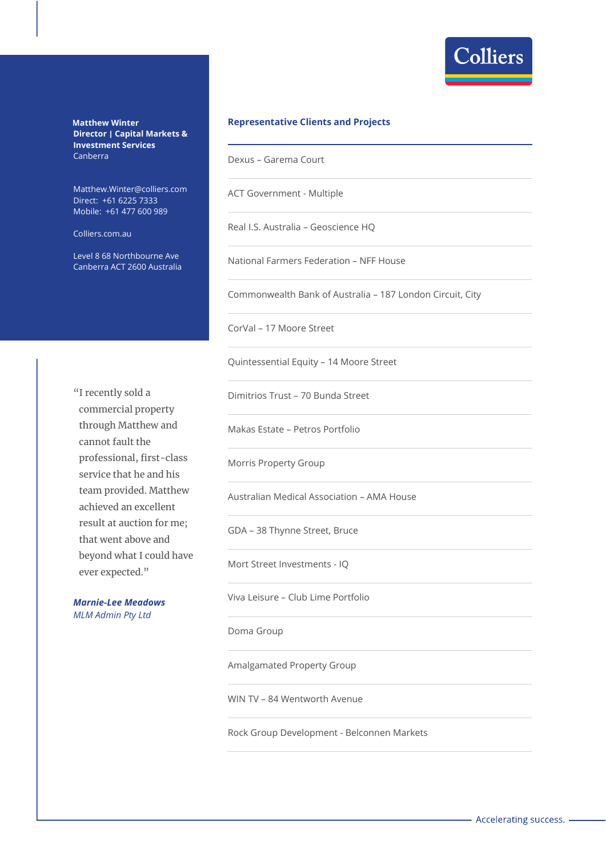

**Matthew Winter Director | Capital Markets & Investment Services**  Canberra

Matthew.Winter@colliers.com Direct: +61 6225 7333 Mobile: +61 477 600 989

Colliers.com.au

Level 8 68 Northbourne Ave Canberra ACT 2600 Australia

## **Representative Clients and Projects**

Dexus – Garema Court

ACT Government - Multiple

Real I.S. Australia – Geoscience HQ

National Farmers Federation – NFF House

Commonwealth Bank of Australia – 187 London Circuit, City

CorVal – 17 Moore Street

Quintessential Equity – 14 Moore Street

Dimitrios Trust – 70 Bunda Street

Makas Estate – Petros Portfolio

Morris Property Group

Australian Medical Association – AMA House

GDA – 38 Thynne Street, Bruce

Mort Street Investments - IQ

Viva Leisure – Club Lime Portfolio

Doma Group

Amalgamated Property Group

WIN TV – 84 Wentworth Avenue

Rock Group Development - Belconnen Markets

"I recently sold a commercial property through Matthew and cannot fault the professional, first-class service that he and his team provided. Matthew achieved an excellent result at auction for me; that went above and beyond what I could have ever expected."

*Marnie-Lee Meadows MLM Admin Pty Ltd*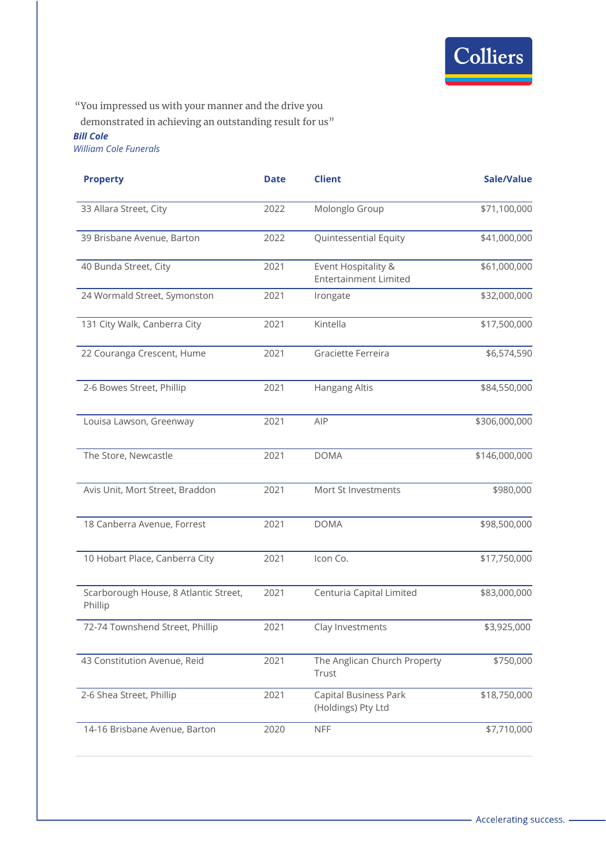

"You impressed us with your manner and the drive you

demonstrated in achieving an outstanding result for us"

## *Bill Cole*

*William Cole Funerals*

| <b>Property</b>                                  | <b>Date</b> | <b>Client</b>                                       | Sale/Value    |
|--------------------------------------------------|-------------|-----------------------------------------------------|---------------|
| 33 Allara Street, City                           | 2022        | Molonglo Group                                      | \$71,100,000  |
| 39 Brisbane Avenue, Barton                       | 2022        | Quintessential Equity                               | \$41,000,000  |
| 40 Bunda Street, City                            | 2021        | Event Hospitality &<br><b>Entertainment Limited</b> | \$61,000,000  |
| 24 Wormald Street, Symonston                     | 2021        | Irongate                                            | \$32,000,000  |
| 131 City Walk, Canberra City                     | 2021        | Kintella                                            | \$17,500,000  |
| 22 Couranga Crescent, Hume                       | 2021        | Graciette Ferreira                                  | \$6,574,590   |
| 2-6 Bowes Street, Phillip                        | 2021        | Hangang Altis                                       | \$84,550,000  |
| Louisa Lawson, Greenway                          | 2021        | AIP                                                 | \$306,000,000 |
| The Store, Newcastle                             | 2021        | <b>DOMA</b>                                         | \$146,000,000 |
| Avis Unit, Mort Street, Braddon                  | 2021        | Mort St Investments                                 | \$980,000     |
| 18 Canberra Avenue, Forrest                      | 2021        | <b>DOMA</b>                                         | \$98,500,000  |
| 10 Hobart Place, Canberra City                   | 2021        | Icon Co.                                            | \$17,750,000  |
| Scarborough House, 8 Atlantic Street,<br>Phillip | 2021        | Centuria Capital Limited                            | \$83,000,000  |
| 72-74 Townshend Street, Phillip                  | 2021        | Clay Investments                                    | \$3,925,000   |
| 43 Constitution Avenue, Reid                     | 2021        | The Anglican Church Property<br>Trust               | \$750,000     |
| 2-6 Shea Street, Phillip                         | 2021        | <b>Capital Business Park</b><br>(Holdings) Pty Ltd  | \$18,750,000  |
| 14-16 Brisbane Avenue, Barton                    | 2020        | <b>NFF</b>                                          | \$7,710,000   |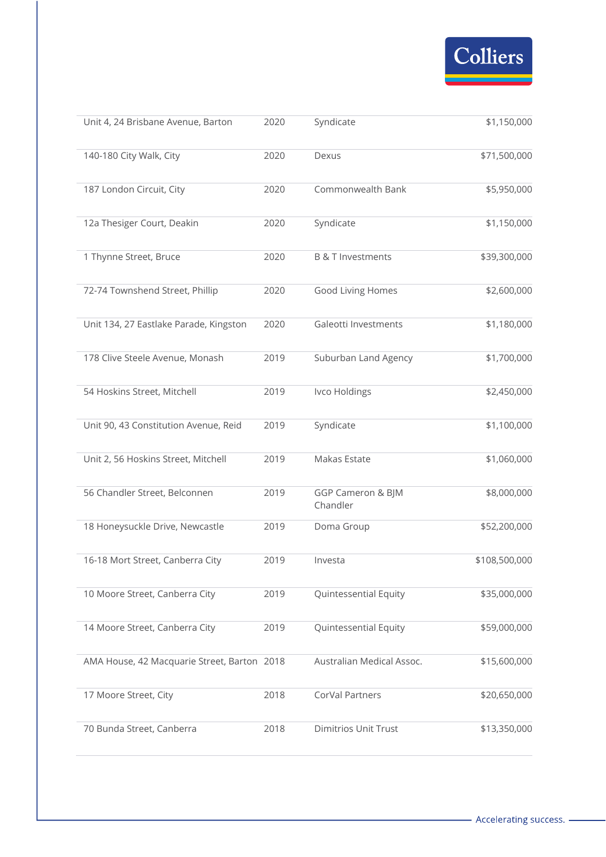

| Unit 4, 24 Brisbane Avenue, Barton          | 2020 | Syndicate                     | \$1,150,000   |
|---------------------------------------------|------|-------------------------------|---------------|
| 140-180 City Walk, City                     | 2020 | Dexus                         | \$71,500,000  |
| 187 London Circuit, City                    | 2020 | Commonwealth Bank             | \$5,950,000   |
| 12a Thesiger Court, Deakin                  | 2020 | Syndicate                     | \$1,150,000   |
| 1 Thynne Street, Bruce                      | 2020 | <b>B &amp; T Investments</b>  | \$39,300,000  |
| 72-74 Townshend Street, Phillip             | 2020 | Good Living Homes             | \$2,600,000   |
| Unit 134, 27 Eastlake Parade, Kingston      | 2020 | Galeotti Investments          | \$1,180,000   |
| 178 Clive Steele Avenue, Monash             | 2019 | Suburban Land Agency          | \$1,700,000   |
| 54 Hoskins Street, Mitchell                 | 2019 | Ivco Holdings                 | \$2,450,000   |
| Unit 90, 43 Constitution Avenue, Reid       | 2019 | Syndicate                     | \$1,100,000   |
| Unit 2, 56 Hoskins Street, Mitchell         | 2019 | Makas Estate                  | \$1,060,000   |
| 56 Chandler Street, Belconnen               | 2019 | GGP Cameron & BJM<br>Chandler | \$8,000,000   |
| 18 Honeysuckle Drive, Newcastle             | 2019 | Doma Group                    | \$52,200,000  |
| 16-18 Mort Street, Canberra City            | 2019 | Investa                       | \$108,500,000 |
| 10 Moore Street, Canberra City              | 2019 | Quintessential Equity         | \$35,000,000  |
| 14 Moore Street, Canberra City              | 2019 | <b>Quintessential Equity</b>  | \$59,000,000  |
| AMA House, 42 Macquarie Street, Barton 2018 |      | Australian Medical Assoc.     | \$15,600,000  |
| 17 Moore Street, City                       | 2018 | CorVal Partners               | \$20,650,000  |
| 70 Bunda Street, Canberra                   | 2018 | <b>Dimitrios Unit Trust</b>   | \$13,350,000  |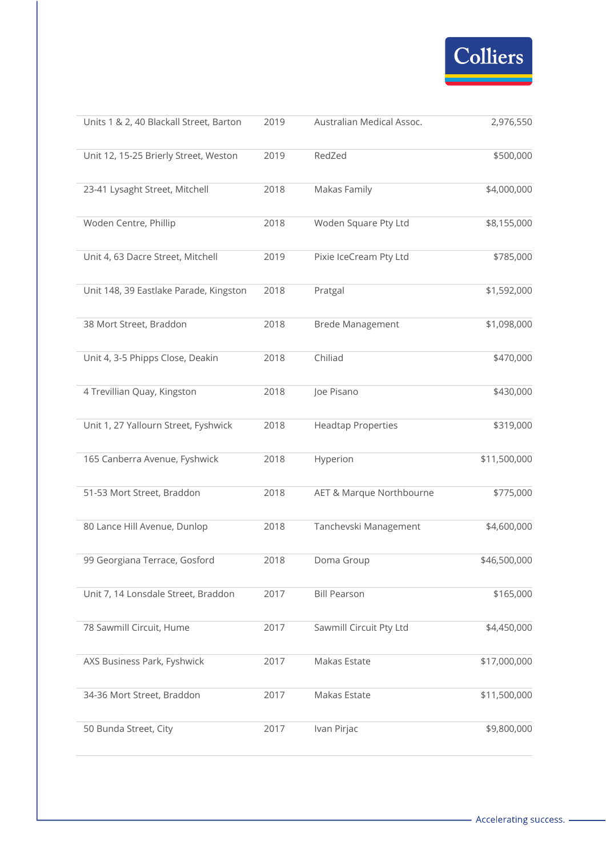

| Units 1 & 2, 40 Blackall Street, Barton | 2019 | Australian Medical Assoc. | 2,976,550    |
|-----------------------------------------|------|---------------------------|--------------|
| Unit 12, 15-25 Brierly Street, Weston   | 2019 | RedZed                    | \$500,000    |
| 23-41 Lysaght Street, Mitchell          | 2018 | Makas Family              | \$4,000,000  |
| Woden Centre, Phillip                   | 2018 | Woden Square Pty Ltd      | \$8,155,000  |
| Unit 4, 63 Dacre Street, Mitchell       | 2019 | Pixie IceCream Pty Ltd    | \$785,000    |
| Unit 148, 39 Eastlake Parade, Kingston  | 2018 | Pratgal                   | \$1,592,000  |
| 38 Mort Street, Braddon                 | 2018 | <b>Brede Management</b>   | \$1,098,000  |
| Unit 4, 3-5 Phipps Close, Deakin        | 2018 | Chiliad                   | \$470,000    |
| 4 Trevillian Quay, Kingston             | 2018 | Joe Pisano                | \$430,000    |
| Unit 1, 27 Yallourn Street, Fyshwick    | 2018 | <b>Headtap Properties</b> | \$319,000    |
| 165 Canberra Avenue, Fyshwick           | 2018 | Hyperion                  | \$11,500,000 |
| 51-53 Mort Street, Braddon              | 2018 | AET & Marque Northbourne  | \$775,000    |
| 80 Lance Hill Avenue, Dunlop            | 2018 | Tanchevski Management     | \$4,600,000  |
| 99 Georgiana Terrace, Gosford           | 2018 | Doma Group                | \$46,500,000 |
| Unit 7, 14 Lonsdale Street, Braddon     | 2017 | <b>Bill Pearson</b>       | \$165,000    |
| 78 Sawmill Circuit, Hume                | 2017 | Sawmill Circuit Pty Ltd   | \$4,450,000  |
| AXS Business Park, Fyshwick             | 2017 | Makas Estate              | \$17,000,000 |
| 34-36 Mort Street, Braddon              | 2017 | Makas Estate              | \$11,500,000 |
| 50 Bunda Street, City                   | 2017 | Ivan Pirjac               | \$9,800,000  |